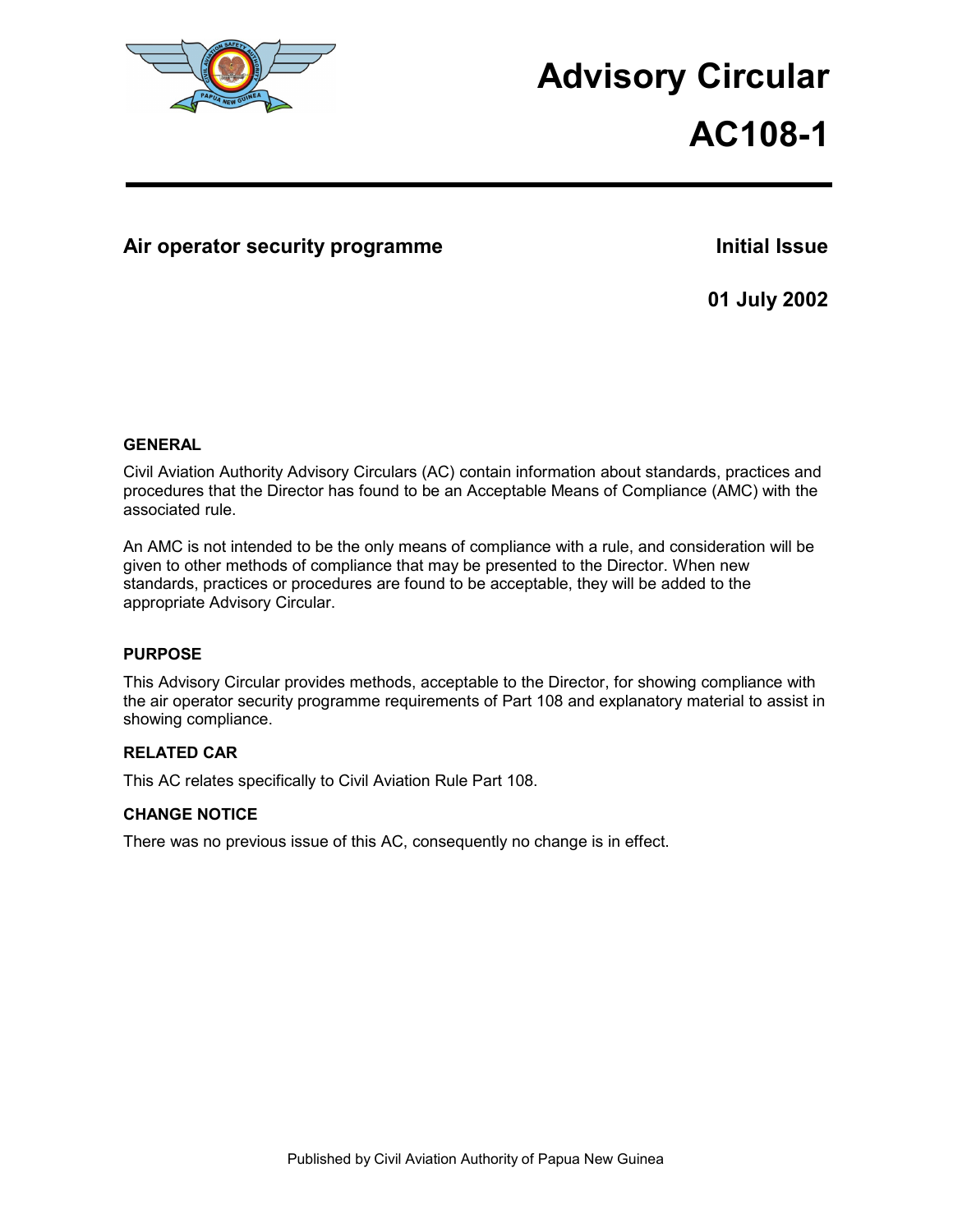

# **Advisory Circular**

# **AC108-1**

### Air operator security programme **Initial Issue Initial Issue**

**01 July 2002** 

#### **GENERAL**

Civil Aviation Authority Advisory Circulars (AC) contain information about standards, practices and procedures that the Director has found to be an Acceptable Means of Compliance (AMC) with the associated rule.

An AMC is not intended to be the only means of compliance with a rule, and consideration will be given to other methods of compliance that may be presented to the Director. When new standards, practices or procedures are found to be acceptable, they will be added to the appropriate Advisory Circular.

#### **PURPOSE**

This Advisory Circular provides methods, acceptable to the Director, for showing compliance with the air operator security programme requirements of Part 108 and explanatory material to assist in showing compliance.

#### **RELATED CAR**

This AC relates specifically to Civil Aviation Rule Part 108.

#### **CHANGE NOTICE**

There was no previous issue of this AC, consequently no change is in effect.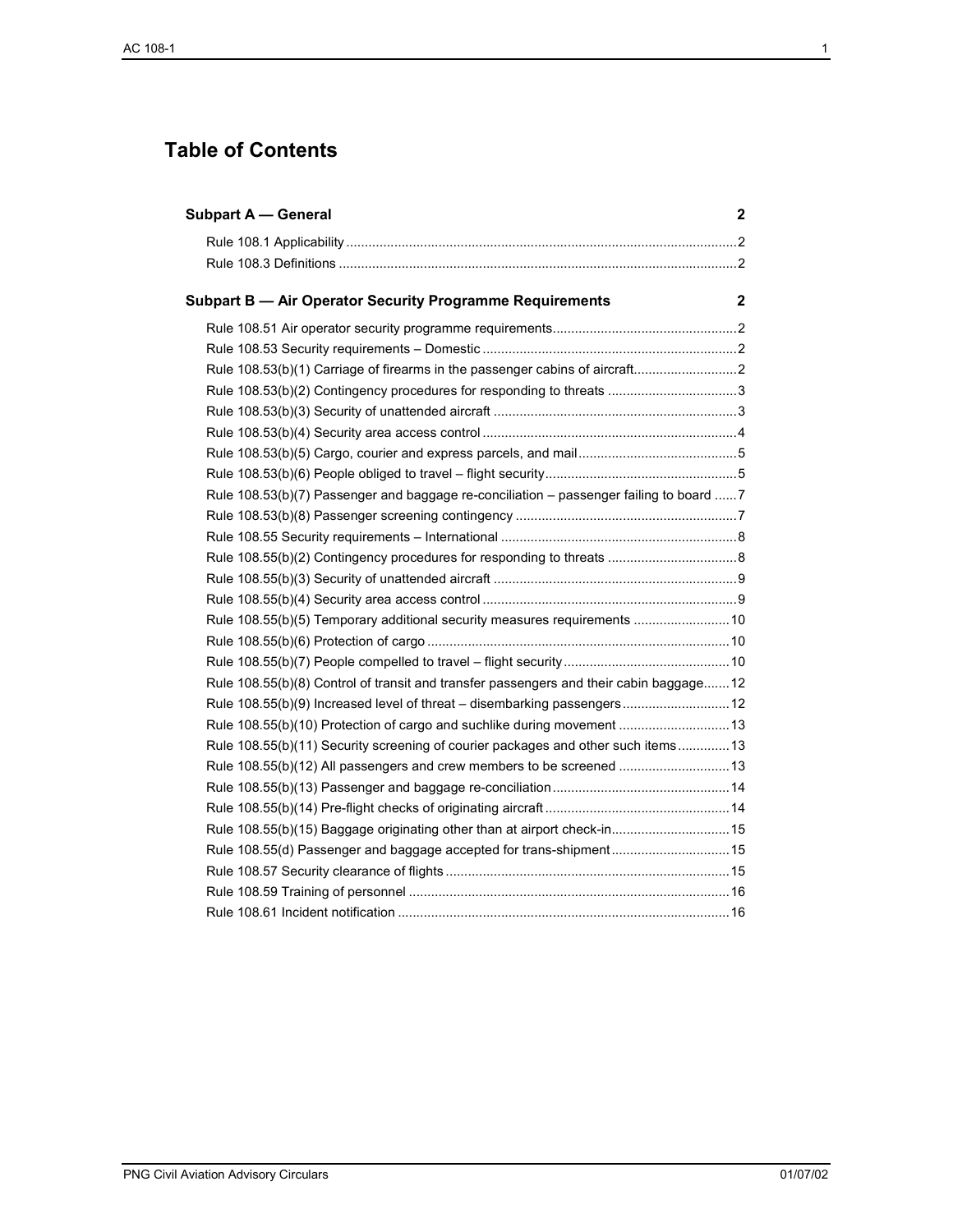# **Table of Contents**

| <b>Subpart A - General</b>                                                              | 2 |
|-----------------------------------------------------------------------------------------|---|
|                                                                                         |   |
|                                                                                         |   |
|                                                                                         |   |
|                                                                                         |   |
|                                                                                         |   |
|                                                                                         |   |
|                                                                                         |   |
|                                                                                         |   |
|                                                                                         |   |
|                                                                                         |   |
| Rule 108.53(b)(7) Passenger and baggage re-conciliation - passenger failing to board  7 |   |
|                                                                                         |   |
|                                                                                         |   |
|                                                                                         |   |
|                                                                                         |   |
|                                                                                         |   |
| Rule 108.55(b)(5) Temporary additional security measures requirements  10               |   |
|                                                                                         |   |
|                                                                                         |   |
| Rule 108.55(b)(8) Control of transit and transfer passengers and their cabin baggage12  |   |
| Rule 108.55(b)(9) Increased level of threat - disembarking passengers 12                |   |
| Rule 108.55(b)(10) Protection of cargo and suchlike during movement 13                  |   |
| Rule 108.55(b)(11) Security screening of courier packages and other such items 13       |   |
| Rule 108.55(b)(12) All passengers and crew members to be screened  13                   |   |
|                                                                                         |   |
|                                                                                         |   |
| Rule 108.55(b)(15) Baggage originating other than at airport check-in 15                |   |
| Rule 108.55(d) Passenger and baggage accepted for trans-shipment 15                     |   |
|                                                                                         |   |
|                                                                                         |   |
|                                                                                         |   |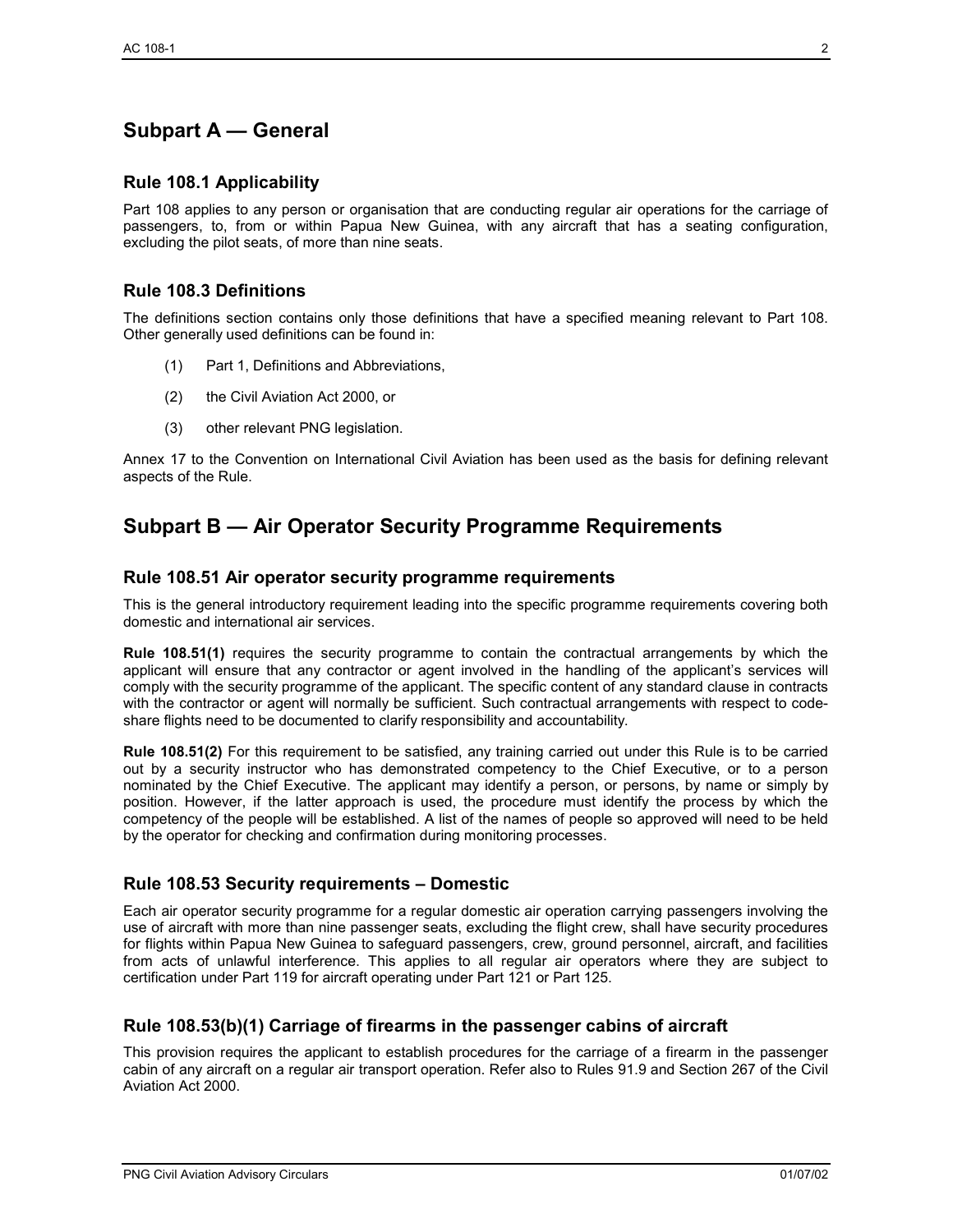# **Subpart A — General**

#### **Rule 108.1 Applicability**

Part 108 applies to any person or organisation that are conducting regular air operations for the carriage of passengers, to, from or within Papua New Guinea, with any aircraft that has a seating configuration, excluding the pilot seats, of more than nine seats.

#### **Rule 108.3 Definitions**

The definitions section contains only those definitions that have a specified meaning relevant to Part 108. Other generally used definitions can be found in:

- (1) Part 1, Definitions and Abbreviations,
- (2) the Civil Aviation Act 2000, or
- (3) other relevant PNG legislation.

Annex 17 to the Convention on International Civil Aviation has been used as the basis for defining relevant aspects of the Rule.

## **Subpart B — Air Operator Security Programme Requirements**

#### **Rule 108.51 Air operator security programme requirements**

This is the general introductory requirement leading into the specific programme requirements covering both domestic and international air services.

**Rule 108.51(1)** requires the security programme to contain the contractual arrangements by which the applicant will ensure that any contractor or agent involved in the handling of the applicant's services will comply with the security programme of the applicant. The specific content of any standard clause in contracts with the contractor or agent will normally be sufficient. Such contractual arrangements with respect to codeshare flights need to be documented to clarify responsibility and accountability.

**Rule 108.51(2)** For this requirement to be satisfied, any training carried out under this Rule is to be carried out by a security instructor who has demonstrated competency to the Chief Executive, or to a person nominated by the Chief Executive. The applicant may identify a person, or persons, by name or simply by position. However, if the latter approach is used, the procedure must identify the process by which the competency of the people will be established. A list of the names of people so approved will need to be held by the operator for checking and confirmation during monitoring processes.

#### **Rule 108.53 Security requirements – Domestic**

Each air operator security programme for a regular domestic air operation carrying passengers involving the use of aircraft with more than nine passenger seats, excluding the flight crew, shall have security procedures for flights within Papua New Guinea to safeguard passengers, crew, ground personnel, aircraft, and facilities from acts of unlawful interference. This applies to all regular air operators where they are subject to certification under Part 119 for aircraft operating under Part 121 or Part 125.

#### **Rule 108.53(b)(1) Carriage of firearms in the passenger cabins of aircraft**

This provision requires the applicant to establish procedures for the carriage of a firearm in the passenger cabin of any aircraft on a regular air transport operation. Refer also to Rules 91.9 and Section 267 of the Civil Aviation Act 2000.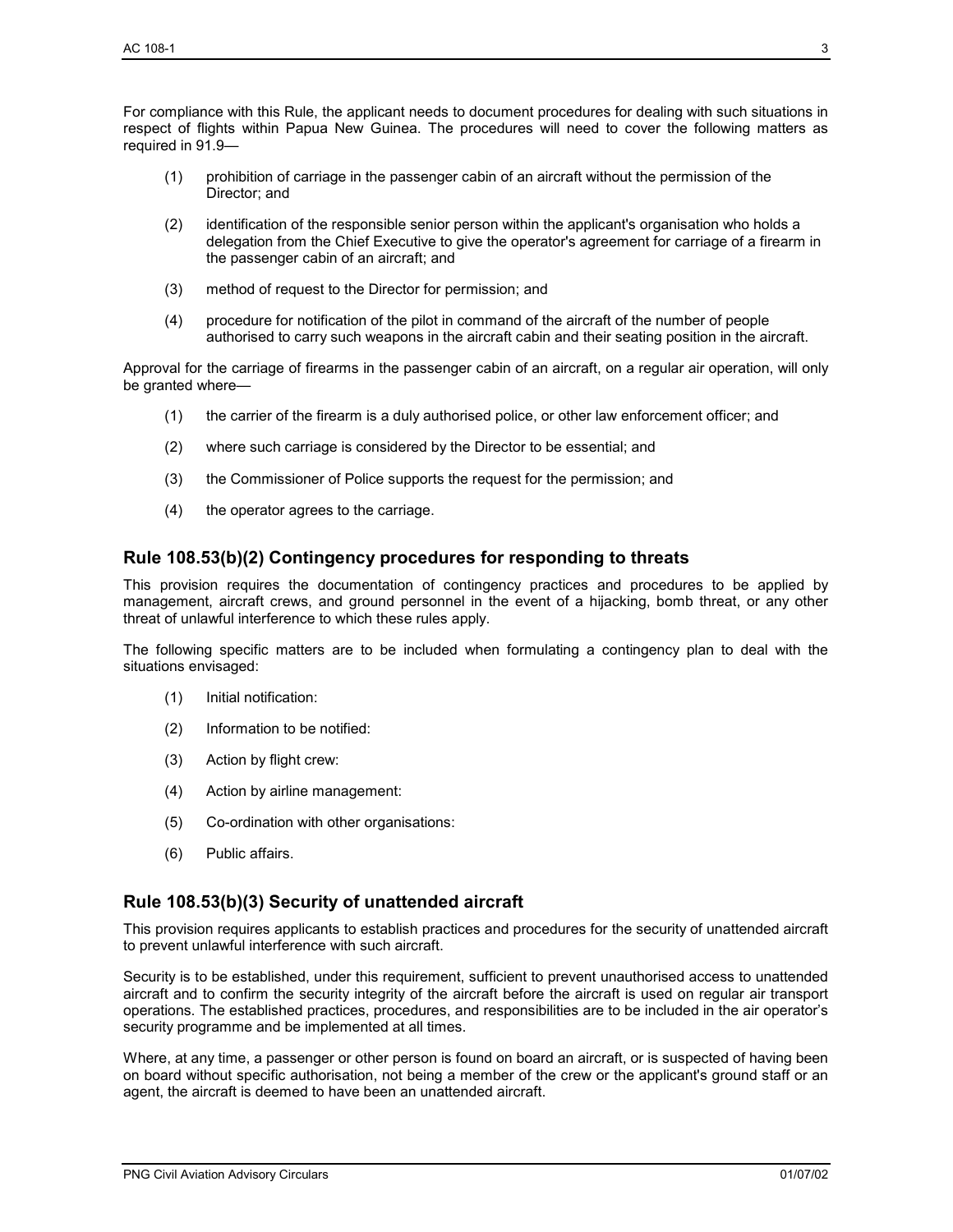For compliance with this Rule, the applicant needs to document procedures for dealing with such situations in respect of flights within Papua New Guinea. The procedures will need to cover the following matters as required in 91.9—

- (1) prohibition of carriage in the passenger cabin of an aircraft without the permission of the Director; and
- (2) identification of the responsible senior person within the applicant's organisation who holds a delegation from the Chief Executive to give the operator's agreement for carriage of a firearm in the passenger cabin of an aircraft; and
- (3) method of request to the Director for permission; and
- (4) procedure for notification of the pilot in command of the aircraft of the number of people authorised to carry such weapons in the aircraft cabin and their seating position in the aircraft.

Approval for the carriage of firearms in the passenger cabin of an aircraft, on a regular air operation, will only be granted where—

- (1) the carrier of the firearm is a duly authorised police, or other law enforcement officer; and
- (2) where such carriage is considered by the Director to be essential; and
- (3) the Commissioner of Police supports the request for the permission; and
- (4) the operator agrees to the carriage.

#### **Rule 108.53(b)(2) Contingency procedures for responding to threats**

This provision requires the documentation of contingency practices and procedures to be applied by management, aircraft crews, and ground personnel in the event of a hijacking, bomb threat, or any other threat of unlawful interference to which these rules apply.

The following specific matters are to be included when formulating a contingency plan to deal with the situations envisaged:

- (1) Initial notification:
- (2) Information to be notified:
- (3) Action by flight crew:
- (4) Action by airline management:
- (5) Co-ordination with other organisations:
- (6) Public affairs.

#### **Rule 108.53(b)(3) Security of unattended aircraft**

This provision requires applicants to establish practices and procedures for the security of unattended aircraft to prevent unlawful interference with such aircraft.

Security is to be established, under this requirement, sufficient to prevent unauthorised access to unattended aircraft and to confirm the security integrity of the aircraft before the aircraft is used on regular air transport operations. The established practices, procedures, and responsibilities are to be included in the air operator's security programme and be implemented at all times.

Where, at any time, a passenger or other person is found on board an aircraft, or is suspected of having been on board without specific authorisation, not being a member of the crew or the applicant's ground staff or an agent, the aircraft is deemed to have been an unattended aircraft.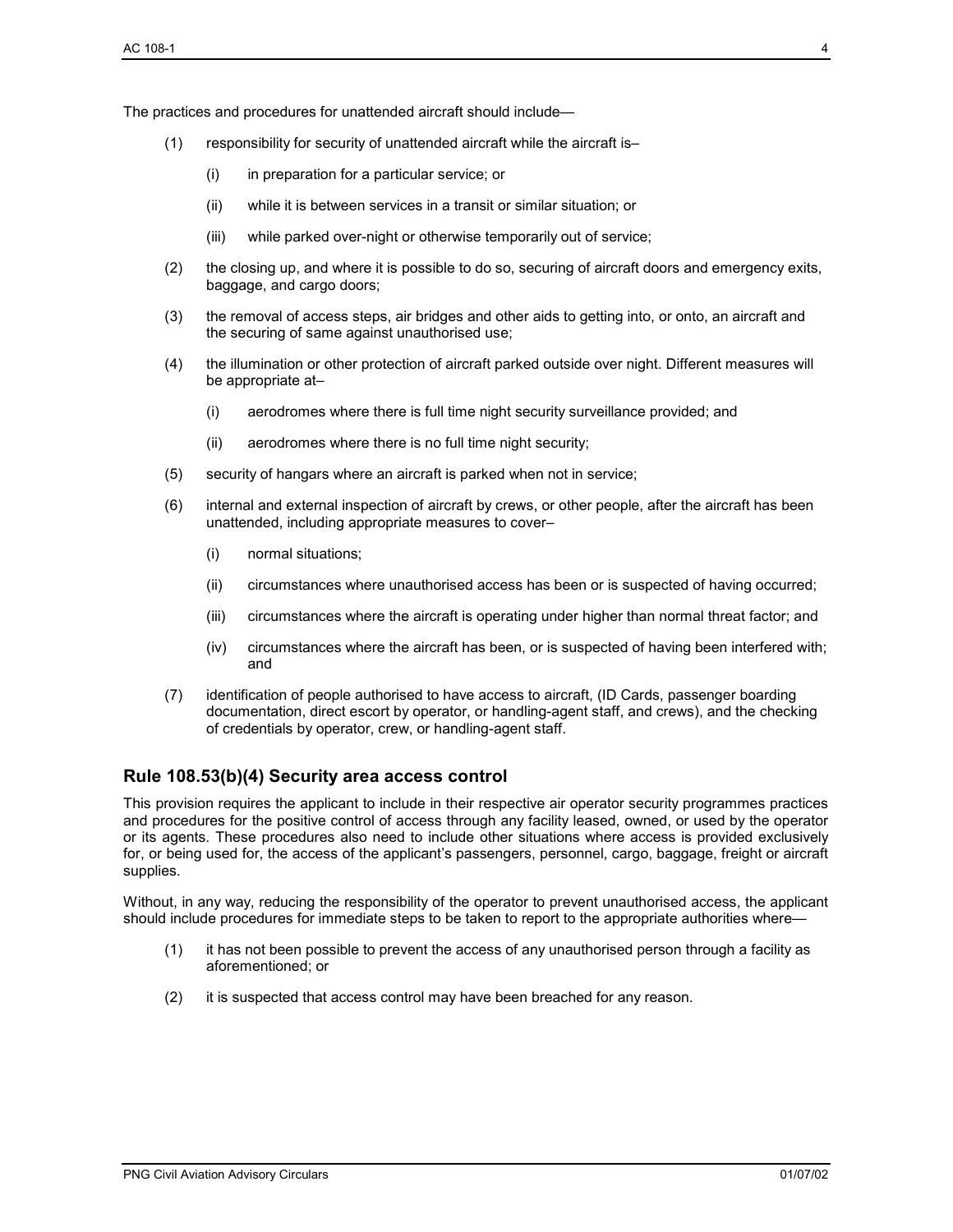The practices and procedures for unattended aircraft should include—

- (1) responsibility for security of unattended aircraft while the aircraft is–
	- (i) in preparation for a particular service; or
	- (ii) while it is between services in a transit or similar situation; or
	- (iii) while parked over-night or otherwise temporarily out of service;
- (2) the closing up, and where it is possible to do so, securing of aircraft doors and emergency exits, baggage, and cargo doors;
- (3) the removal of access steps, air bridges and other aids to getting into, or onto, an aircraft and the securing of same against unauthorised use;
- (4) the illumination or other protection of aircraft parked outside over night. Different measures will be appropriate at–
	- (i) aerodromes where there is full time night security surveillance provided; and
	- (ii) aerodromes where there is no full time night security;
- (5) security of hangars where an aircraft is parked when not in service;
- (6) internal and external inspection of aircraft by crews, or other people, after the aircraft has been unattended, including appropriate measures to cover–
	- (i) normal situations;
	- (ii) circumstances where unauthorised access has been or is suspected of having occurred;
	- (iii) circumstances where the aircraft is operating under higher than normal threat factor; and
	- (iv) circumstances where the aircraft has been, or is suspected of having been interfered with; and
- (7) identification of people authorised to have access to aircraft, (ID Cards, passenger boarding documentation, direct escort by operator, or handling-agent staff, and crews), and the checking of credentials by operator, crew, or handling-agent staff.

#### **Rule 108.53(b)(4) Security area access control**

This provision requires the applicant to include in their respective air operator security programmes practices and procedures for the positive control of access through any facility leased, owned, or used by the operator or its agents. These procedures also need to include other situations where access is provided exclusively for, or being used for, the access of the applicant's passengers, personnel, cargo, baggage, freight or aircraft supplies.

Without, in any way, reducing the responsibility of the operator to prevent unauthorised access, the applicant should include procedures for immediate steps to be taken to report to the appropriate authorities where—

- (1) it has not been possible to prevent the access of any unauthorised person through a facility as aforementioned; or
- (2) it is suspected that access control may have been breached for any reason.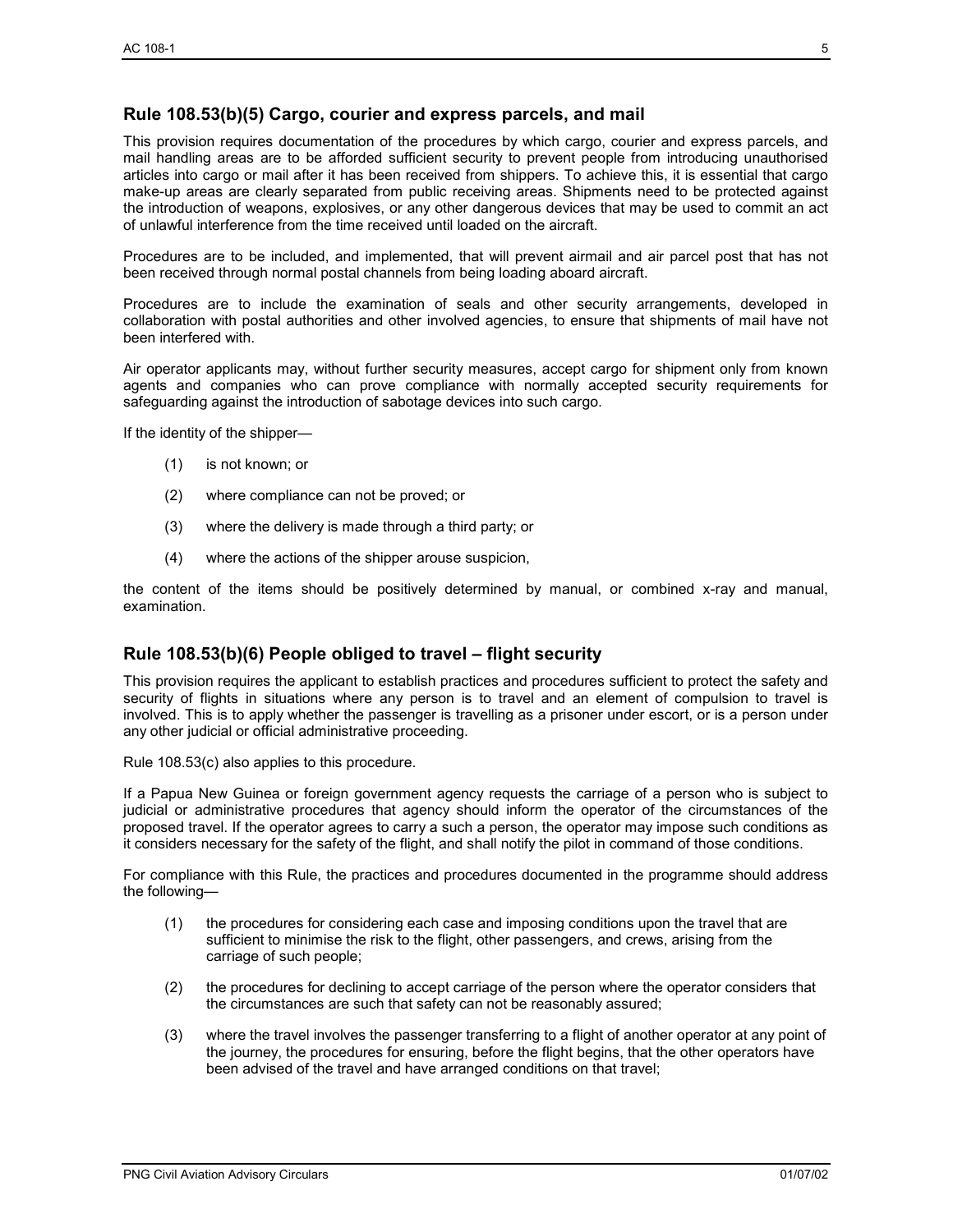#### **Rule 108.53(b)(5) Cargo, courier and express parcels, and mail**

This provision requires documentation of the procedures by which cargo, courier and express parcels, and mail handling areas are to be afforded sufficient security to prevent people from introducing unauthorised articles into cargo or mail after it has been received from shippers. To achieve this, it is essential that cargo make-up areas are clearly separated from public receiving areas. Shipments need to be protected against the introduction of weapons, explosives, or any other dangerous devices that may be used to commit an act of unlawful interference from the time received until loaded on the aircraft.

Procedures are to be included, and implemented, that will prevent airmail and air parcel post that has not been received through normal postal channels from being loading aboard aircraft.

Procedures are to include the examination of seals and other security arrangements, developed in collaboration with postal authorities and other involved agencies, to ensure that shipments of mail have not been interfered with.

Air operator applicants may, without further security measures, accept cargo for shipment only from known agents and companies who can prove compliance with normally accepted security requirements for safeguarding against the introduction of sabotage devices into such cargo.

If the identity of the shipper—

- (1) is not known; or
- (2) where compliance can not be proved; or
- (3) where the delivery is made through a third party; or
- (4) where the actions of the shipper arouse suspicion,

the content of the items should be positively determined by manual, or combined x-ray and manual, examination.

#### **Rule 108.53(b)(6) People obliged to travel – flight security**

This provision requires the applicant to establish practices and procedures sufficient to protect the safety and security of flights in situations where any person is to travel and an element of compulsion to travel is involved. This is to apply whether the passenger is travelling as a prisoner under escort, or is a person under any other judicial or official administrative proceeding.

Rule 108.53(c) also applies to this procedure.

If a Papua New Guinea or foreign government agency requests the carriage of a person who is subject to judicial or administrative procedures that agency should inform the operator of the circumstances of the proposed travel. If the operator agrees to carry a such a person, the operator may impose such conditions as it considers necessary for the safety of the flight, and shall notify the pilot in command of those conditions.

For compliance with this Rule, the practices and procedures documented in the programme should address the following—

- (1) the procedures for considering each case and imposing conditions upon the travel that are sufficient to minimise the risk to the flight, other passengers, and crews, arising from the carriage of such people;
- (2) the procedures for declining to accept carriage of the person where the operator considers that the circumstances are such that safety can not be reasonably assured;
- (3) where the travel involves the passenger transferring to a flight of another operator at any point of the journey, the procedures for ensuring, before the flight begins, that the other operators have been advised of the travel and have arranged conditions on that travel;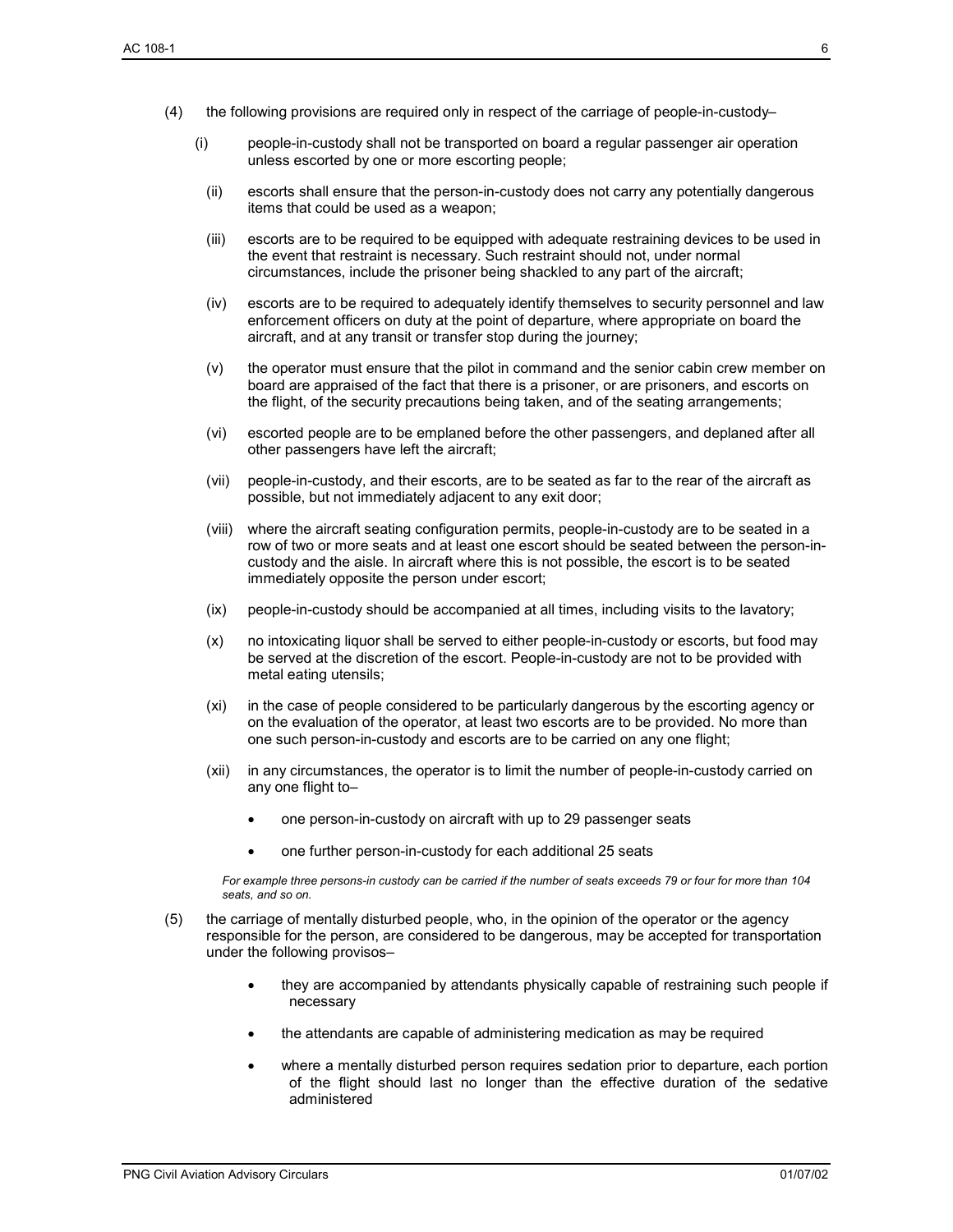- (4) the following provisions are required only in respect of the carriage of people-in-custody–
	- (i) people-in-custody shall not be transported on board a regular passenger air operation unless escorted by one or more escorting people;
		- (ii) escorts shall ensure that the person-in-custody does not carry any potentially dangerous items that could be used as a weapon;
		- (iii) escorts are to be required to be equipped with adequate restraining devices to be used in the event that restraint is necessary. Such restraint should not, under normal circumstances, include the prisoner being shackled to any part of the aircraft;
		- (iv) escorts are to be required to adequately identify themselves to security personnel and law enforcement officers on duty at the point of departure, where appropriate on board the aircraft, and at any transit or transfer stop during the journey;
		- (v) the operator must ensure that the pilot in command and the senior cabin crew member on board are appraised of the fact that there is a prisoner, or are prisoners, and escorts on the flight, of the security precautions being taken, and of the seating arrangements;
		- (vi) escorted people are to be emplaned before the other passengers, and deplaned after all other passengers have left the aircraft;
		- (vii) people-in-custody, and their escorts, are to be seated as far to the rear of the aircraft as possible, but not immediately adjacent to any exit door;
		- (viii) where the aircraft seating configuration permits, people-in-custody are to be seated in a row of two or more seats and at least one escort should be seated between the person-incustody and the aisle. In aircraft where this is not possible, the escort is to be seated immediately opposite the person under escort;
		- (ix) people-in-custody should be accompanied at all times, including visits to the lavatory;
		- (x) no intoxicating liquor shall be served to either people-in-custody or escorts, but food may be served at the discretion of the escort. People-in-custody are not to be provided with metal eating utensils;
		- (xi) in the case of people considered to be particularly dangerous by the escorting agency or on the evaluation of the operator, at least two escorts are to be provided. No more than one such person-in-custody and escorts are to be carried on any one flight;
		- (xii) in any circumstances, the operator is to limit the number of people-in-custody carried on any one flight to–
			- one person-in-custody on aircraft with up to 29 passenger seats
			- one further person-in-custody for each additional 25 seats

*For example three persons-in custody can be carried if the number of seats exceeds 79 or four for more than 104 seats, and so on.* 

- (5) the carriage of mentally disturbed people, who, in the opinion of the operator or the agency responsible for the person, are considered to be dangerous, may be accepted for transportation under the following provisos–
	- they are accompanied by attendants physically capable of restraining such people if necessary
	- the attendants are capable of administering medication as may be required
	- where a mentally disturbed person requires sedation prior to departure, each portion of the flight should last no longer than the effective duration of the sedative administered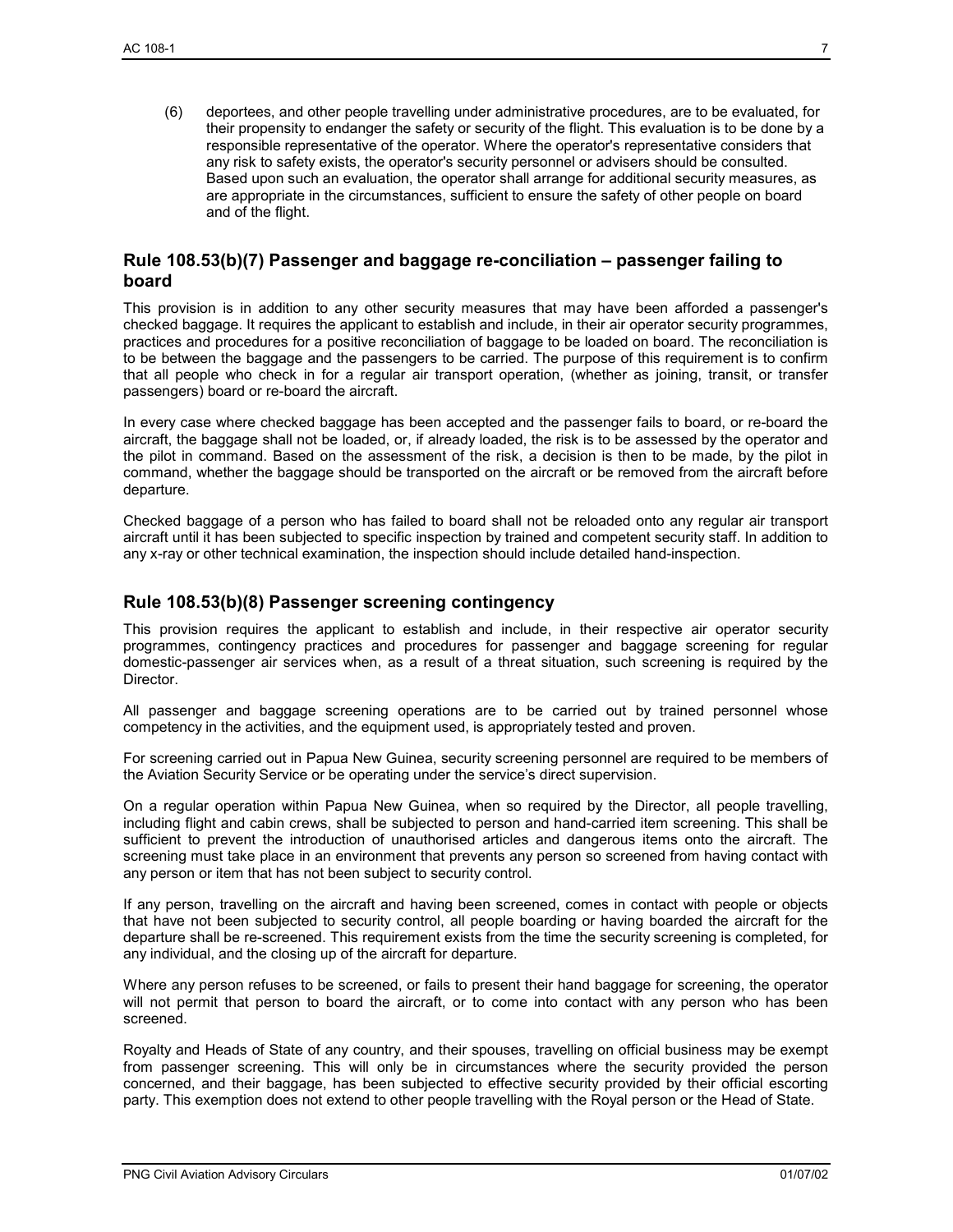(6) deportees, and other people travelling under administrative procedures, are to be evaluated, for their propensity to endanger the safety or security of the flight. This evaluation is to be done by a responsible representative of the operator. Where the operator's representative considers that any risk to safety exists, the operator's security personnel or advisers should be consulted. Based upon such an evaluation, the operator shall arrange for additional security measures, as are appropriate in the circumstances, sufficient to ensure the safety of other people on board and of the flight.

#### **Rule 108.53(b)(7) Passenger and baggage re-conciliation – passenger failing to board**

This provision is in addition to any other security measures that may have been afforded a passenger's checked baggage. It requires the applicant to establish and include, in their air operator security programmes, practices and procedures for a positive reconciliation of baggage to be loaded on board. The reconciliation is to be between the baggage and the passengers to be carried. The purpose of this requirement is to confirm that all people who check in for a regular air transport operation, (whether as joining, transit, or transfer passengers) board or re-board the aircraft.

In every case where checked baggage has been accepted and the passenger fails to board, or re-board the aircraft, the baggage shall not be loaded, or, if already loaded, the risk is to be assessed by the operator and the pilot in command. Based on the assessment of the risk, a decision is then to be made, by the pilot in command, whether the baggage should be transported on the aircraft or be removed from the aircraft before departure.

Checked baggage of a person who has failed to board shall not be reloaded onto any regular air transport aircraft until it has been subjected to specific inspection by trained and competent security staff. In addition to any x-ray or other technical examination, the inspection should include detailed hand-inspection.

#### **Rule 108.53(b)(8) Passenger screening contingency**

This provision requires the applicant to establish and include, in their respective air operator security programmes, contingency practices and procedures for passenger and baggage screening for regular domestic-passenger air services when, as a result of a threat situation, such screening is required by the Director.

All passenger and baggage screening operations are to be carried out by trained personnel whose competency in the activities, and the equipment used, is appropriately tested and proven.

For screening carried out in Papua New Guinea, security screening personnel are required to be members of the Aviation Security Service or be operating under the service's direct supervision.

On a regular operation within Papua New Guinea, when so required by the Director, all people travelling, including flight and cabin crews, shall be subjected to person and hand-carried item screening. This shall be sufficient to prevent the introduction of unauthorised articles and dangerous items onto the aircraft. The screening must take place in an environment that prevents any person so screened from having contact with any person or item that has not been subject to security control.

If any person, travelling on the aircraft and having been screened, comes in contact with people or objects that have not been subjected to security control, all people boarding or having boarded the aircraft for the departure shall be re-screened. This requirement exists from the time the security screening is completed, for any individual, and the closing up of the aircraft for departure.

Where any person refuses to be screened, or fails to present their hand baggage for screening, the operator will not permit that person to board the aircraft, or to come into contact with any person who has been screened.

Royalty and Heads of State of any country, and their spouses, travelling on official business may be exempt from passenger screening. This will only be in circumstances where the security provided the person concerned, and their baggage, has been subjected to effective security provided by their official escorting party. This exemption does not extend to other people travelling with the Royal person or the Head of State.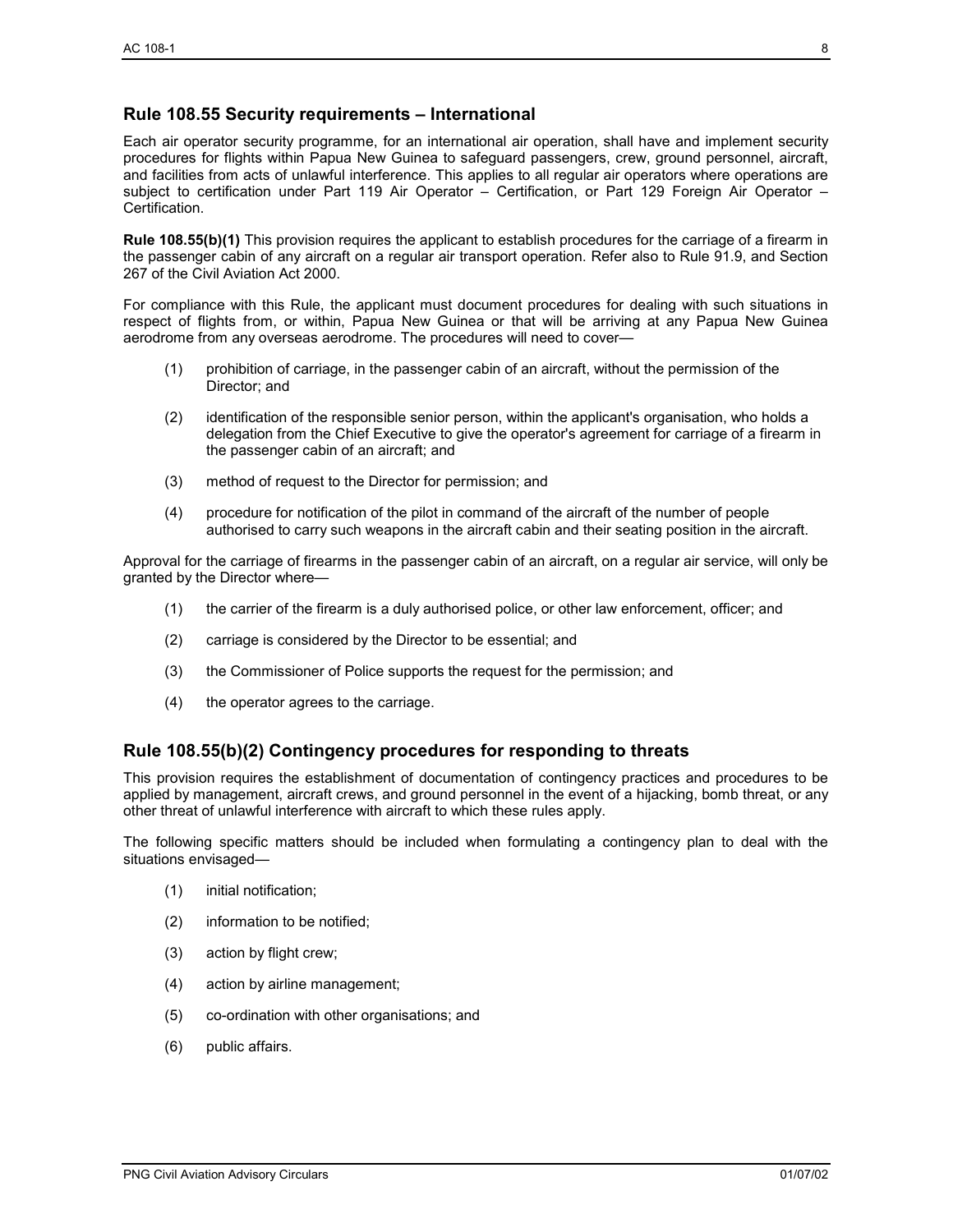#### **Rule 108.55 Security requirements – International**

Each air operator security programme, for an international air operation, shall have and implement security procedures for flights within Papua New Guinea to safeguard passengers, crew, ground personnel, aircraft, and facilities from acts of unlawful interference. This applies to all regular air operators where operations are subject to certification under Part 119 Air Operator – Certification, or Part 129 Foreign Air Operator – Certification.

**Rule 108.55(b)(1)** This provision requires the applicant to establish procedures for the carriage of a firearm in the passenger cabin of any aircraft on a regular air transport operation. Refer also to Rule 91.9, and Section 267 of the Civil Aviation Act 2000.

For compliance with this Rule, the applicant must document procedures for dealing with such situations in respect of flights from, or within, Papua New Guinea or that will be arriving at any Papua New Guinea aerodrome from any overseas aerodrome. The procedures will need to cover—

- (1) prohibition of carriage, in the passenger cabin of an aircraft, without the permission of the Director; and
- (2) identification of the responsible senior person, within the applicant's organisation, who holds a delegation from the Chief Executive to give the operator's agreement for carriage of a firearm in the passenger cabin of an aircraft; and
- (3) method of request to the Director for permission; and
- (4) procedure for notification of the pilot in command of the aircraft of the number of people authorised to carry such weapons in the aircraft cabin and their seating position in the aircraft.

Approval for the carriage of firearms in the passenger cabin of an aircraft, on a regular air service, will only be granted by the Director where—

- (1) the carrier of the firearm is a duly authorised police, or other law enforcement, officer; and
- (2) carriage is considered by the Director to be essential; and
- (3) the Commissioner of Police supports the request for the permission; and
- (4) the operator agrees to the carriage.

#### **Rule 108.55(b)(2) Contingency procedures for responding to threats**

This provision requires the establishment of documentation of contingency practices and procedures to be applied by management, aircraft crews, and ground personnel in the event of a hijacking, bomb threat, or any other threat of unlawful interference with aircraft to which these rules apply.

The following specific matters should be included when formulating a contingency plan to deal with the situations envisaged—

- (1) initial notification;
- (2) information to be notified;
- (3) action by flight crew;
- (4) action by airline management;
- (5) co-ordination with other organisations; and
- (6) public affairs.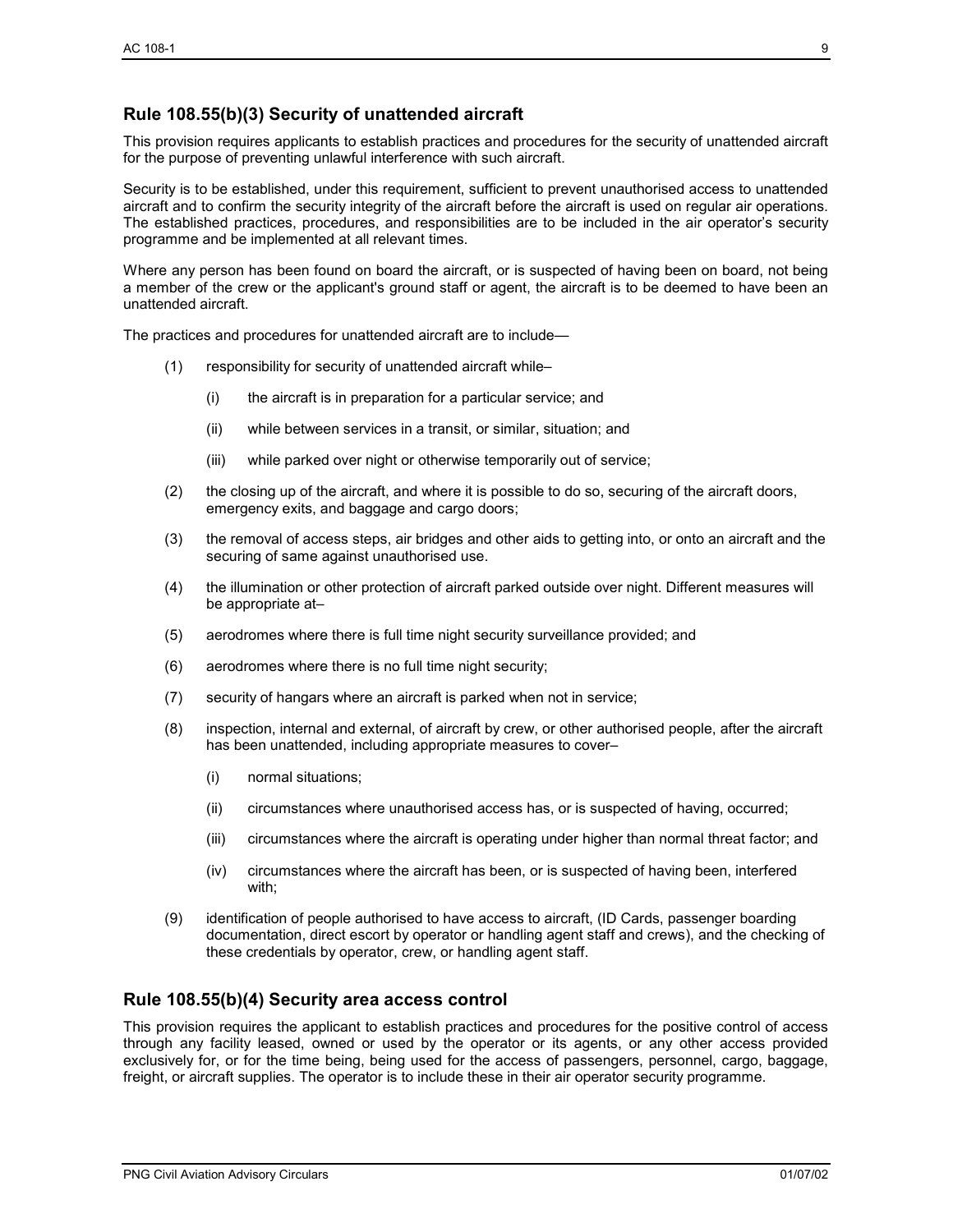#### **Rule 108.55(b)(3) Security of unattended aircraft**

This provision requires applicants to establish practices and procedures for the security of unattended aircraft for the purpose of preventing unlawful interference with such aircraft.

Security is to be established, under this requirement, sufficient to prevent unauthorised access to unattended aircraft and to confirm the security integrity of the aircraft before the aircraft is used on regular air operations. The established practices, procedures, and responsibilities are to be included in the air operator's security programme and be implemented at all relevant times.

Where any person has been found on board the aircraft, or is suspected of having been on board, not being a member of the crew or the applicant's ground staff or agent, the aircraft is to be deemed to have been an unattended aircraft.

The practices and procedures for unattended aircraft are to include—

- (1) responsibility for security of unattended aircraft while–
	- (i) the aircraft is in preparation for a particular service; and
	- (ii) while between services in a transit, or similar, situation; and
	- (iii) while parked over night or otherwise temporarily out of service;
- (2) the closing up of the aircraft, and where it is possible to do so, securing of the aircraft doors, emergency exits, and baggage and cargo doors;
- (3) the removal of access steps, air bridges and other aids to getting into, or onto an aircraft and the securing of same against unauthorised use.
- (4) the illumination or other protection of aircraft parked outside over night. Different measures will be appropriate at–
- (5) aerodromes where there is full time night security surveillance provided; and
- (6) aerodromes where there is no full time night security;
- (7) security of hangars where an aircraft is parked when not in service;
- (8) inspection, internal and external, of aircraft by crew, or other authorised people, after the aircraft has been unattended, including appropriate measures to cover–
	- (i) normal situations;
	- (ii) circumstances where unauthorised access has, or is suspected of having, occurred;
	- (iii) circumstances where the aircraft is operating under higher than normal threat factor; and
	- (iv) circumstances where the aircraft has been, or is suspected of having been, interfered with;
- (9) identification of people authorised to have access to aircraft, (ID Cards, passenger boarding documentation, direct escort by operator or handling agent staff and crews), and the checking of these credentials by operator, crew, or handling agent staff.

#### **Rule 108.55(b)(4) Security area access control**

This provision requires the applicant to establish practices and procedures for the positive control of access through any facility leased, owned or used by the operator or its agents, or any other access provided exclusively for, or for the time being, being used for the access of passengers, personnel, cargo, baggage, freight, or aircraft supplies. The operator is to include these in their air operator security programme.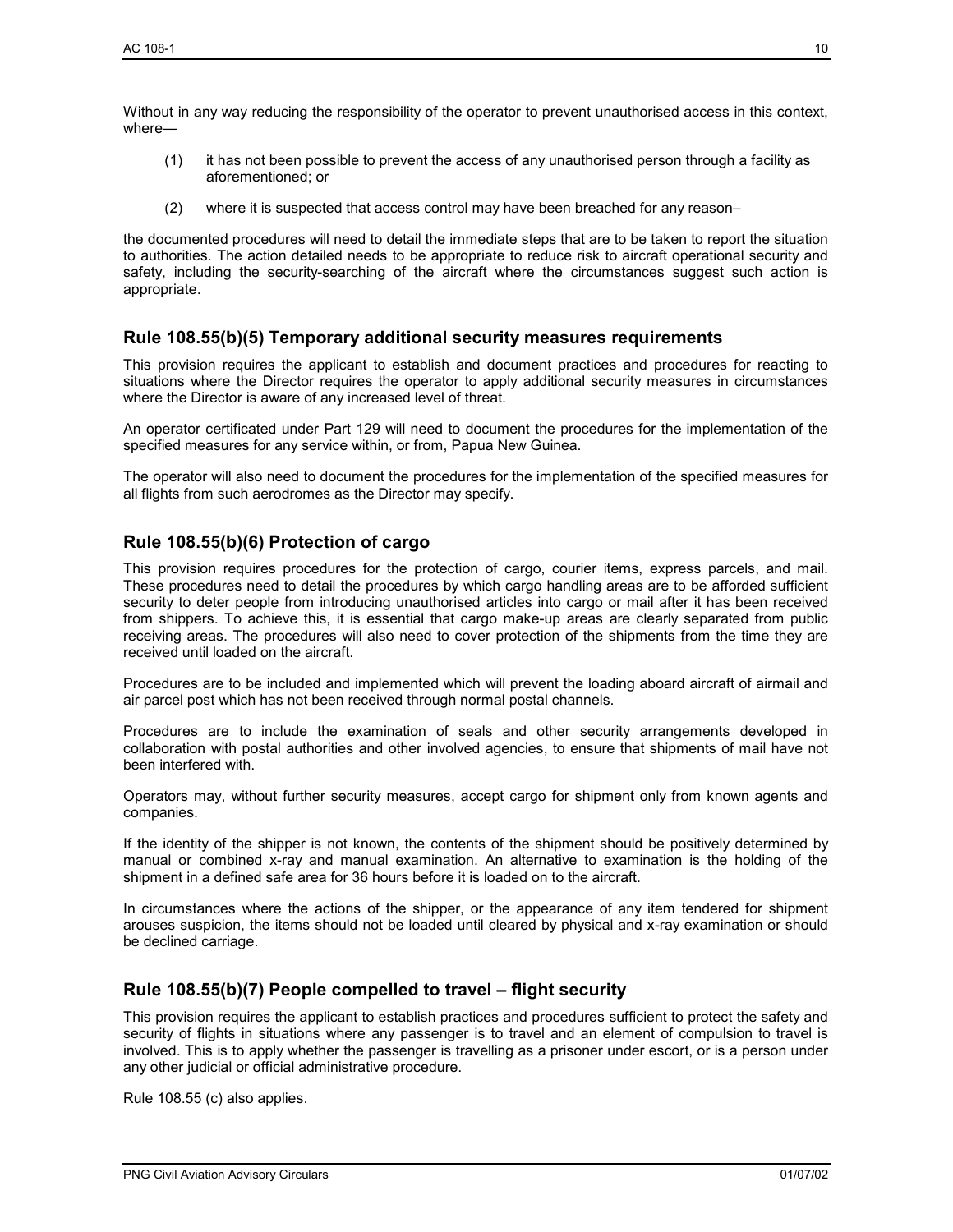Without in any way reducing the responsibility of the operator to prevent unauthorised access in this context, where—

- (1) it has not been possible to prevent the access of any unauthorised person through a facility as aforementioned; or
- (2) where it is suspected that access control may have been breached for any reason–

the documented procedures will need to detail the immediate steps that are to be taken to report the situation to authorities. The action detailed needs to be appropriate to reduce risk to aircraft operational security and safety, including the security-searching of the aircraft where the circumstances suggest such action is appropriate.

#### **Rule 108.55(b)(5) Temporary additional security measures requirements**

This provision requires the applicant to establish and document practices and procedures for reacting to situations where the Director requires the operator to apply additional security measures in circumstances where the Director is aware of any increased level of threat.

An operator certificated under Part 129 will need to document the procedures for the implementation of the specified measures for any service within, or from, Papua New Guinea.

The operator will also need to document the procedures for the implementation of the specified measures for all flights from such aerodromes as the Director may specify.

#### **Rule 108.55(b)(6) Protection of cargo**

This provision requires procedures for the protection of cargo, courier items, express parcels, and mail. These procedures need to detail the procedures by which cargo handling areas are to be afforded sufficient security to deter people from introducing unauthorised articles into cargo or mail after it has been received from shippers. To achieve this, it is essential that cargo make-up areas are clearly separated from public receiving areas. The procedures will also need to cover protection of the shipments from the time they are received until loaded on the aircraft.

Procedures are to be included and implemented which will prevent the loading aboard aircraft of airmail and air parcel post which has not been received through normal postal channels.

Procedures are to include the examination of seals and other security arrangements developed in collaboration with postal authorities and other involved agencies, to ensure that shipments of mail have not been interfered with.

Operators may, without further security measures, accept cargo for shipment only from known agents and companies.

If the identity of the shipper is not known, the contents of the shipment should be positively determined by manual or combined x-ray and manual examination. An alternative to examination is the holding of the shipment in a defined safe area for 36 hours before it is loaded on to the aircraft.

In circumstances where the actions of the shipper, or the appearance of any item tendered for shipment arouses suspicion, the items should not be loaded until cleared by physical and x-ray examination or should be declined carriage.

#### **Rule 108.55(b)(7) People compelled to travel – flight security**

This provision requires the applicant to establish practices and procedures sufficient to protect the safety and security of flights in situations where any passenger is to travel and an element of compulsion to travel is involved. This is to apply whether the passenger is travelling as a prisoner under escort, or is a person under any other judicial or official administrative procedure.

Rule 108.55 (c) also applies.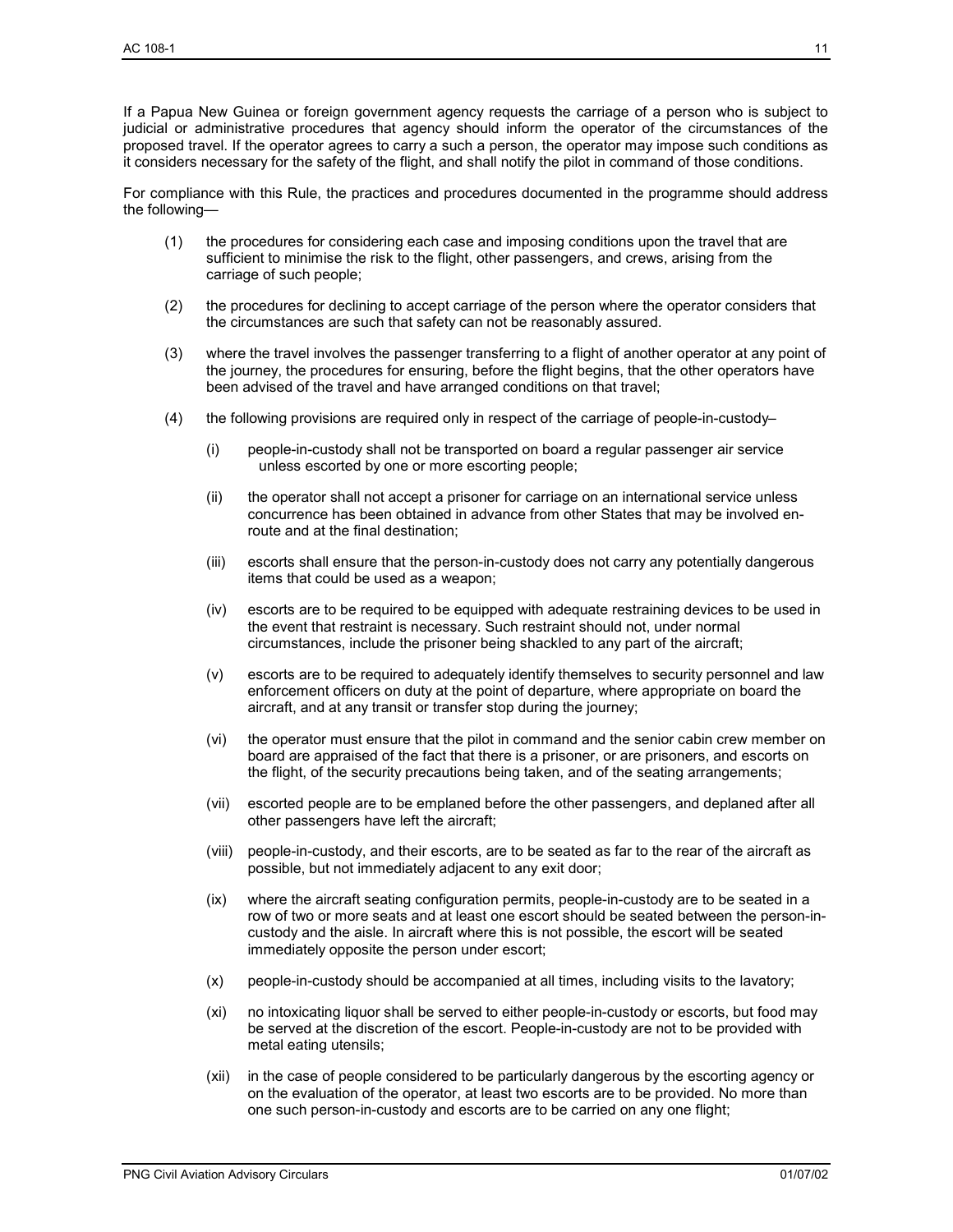If a Papua New Guinea or foreign government agency requests the carriage of a person who is subject to judicial or administrative procedures that agency should inform the operator of the circumstances of the proposed travel. If the operator agrees to carry a such a person, the operator may impose such conditions as it considers necessary for the safety of the flight, and shall notify the pilot in command of those conditions.

For compliance with this Rule, the practices and procedures documented in the programme should address the following—

- (1) the procedures for considering each case and imposing conditions upon the travel that are sufficient to minimise the risk to the flight, other passengers, and crews, arising from the carriage of such people;
- (2) the procedures for declining to accept carriage of the person where the operator considers that the circumstances are such that safety can not be reasonably assured.
- (3) where the travel involves the passenger transferring to a flight of another operator at any point of the journey, the procedures for ensuring, before the flight begins, that the other operators have been advised of the travel and have arranged conditions on that travel;
- (4) the following provisions are required only in respect of the carriage of people-in-custody–
	- (i) people-in-custody shall not be transported on board a regular passenger air service unless escorted by one or more escorting people;
	- (ii) the operator shall not accept a prisoner for carriage on an international service unless concurrence has been obtained in advance from other States that may be involved enroute and at the final destination;
	- (iii) escorts shall ensure that the person-in-custody does not carry any potentially dangerous items that could be used as a weapon;
	- (iv) escorts are to be required to be equipped with adequate restraining devices to be used in the event that restraint is necessary. Such restraint should not, under normal circumstances, include the prisoner being shackled to any part of the aircraft;
	- (v) escorts are to be required to adequately identify themselves to security personnel and law enforcement officers on duty at the point of departure, where appropriate on board the aircraft, and at any transit or transfer stop during the journey;
	- (vi) the operator must ensure that the pilot in command and the senior cabin crew member on board are appraised of the fact that there is a prisoner, or are prisoners, and escorts on the flight, of the security precautions being taken, and of the seating arrangements;
	- (vii) escorted people are to be emplaned before the other passengers, and deplaned after all other passengers have left the aircraft;
	- (viii) people-in-custody, and their escorts, are to be seated as far to the rear of the aircraft as possible, but not immediately adjacent to any exit door;
	- (ix) where the aircraft seating configuration permits, people-in-custody are to be seated in a row of two or more seats and at least one escort should be seated between the person-incustody and the aisle. In aircraft where this is not possible, the escort will be seated immediately opposite the person under escort;
	- (x) people-in-custody should be accompanied at all times, including visits to the lavatory;
	- (xi) no intoxicating liquor shall be served to either people-in-custody or escorts, but food may be served at the discretion of the escort. People-in-custody are not to be provided with metal eating utensils;
	- (xii) in the case of people considered to be particularly dangerous by the escorting agency or on the evaluation of the operator, at least two escorts are to be provided. No more than one such person-in-custody and escorts are to be carried on any one flight;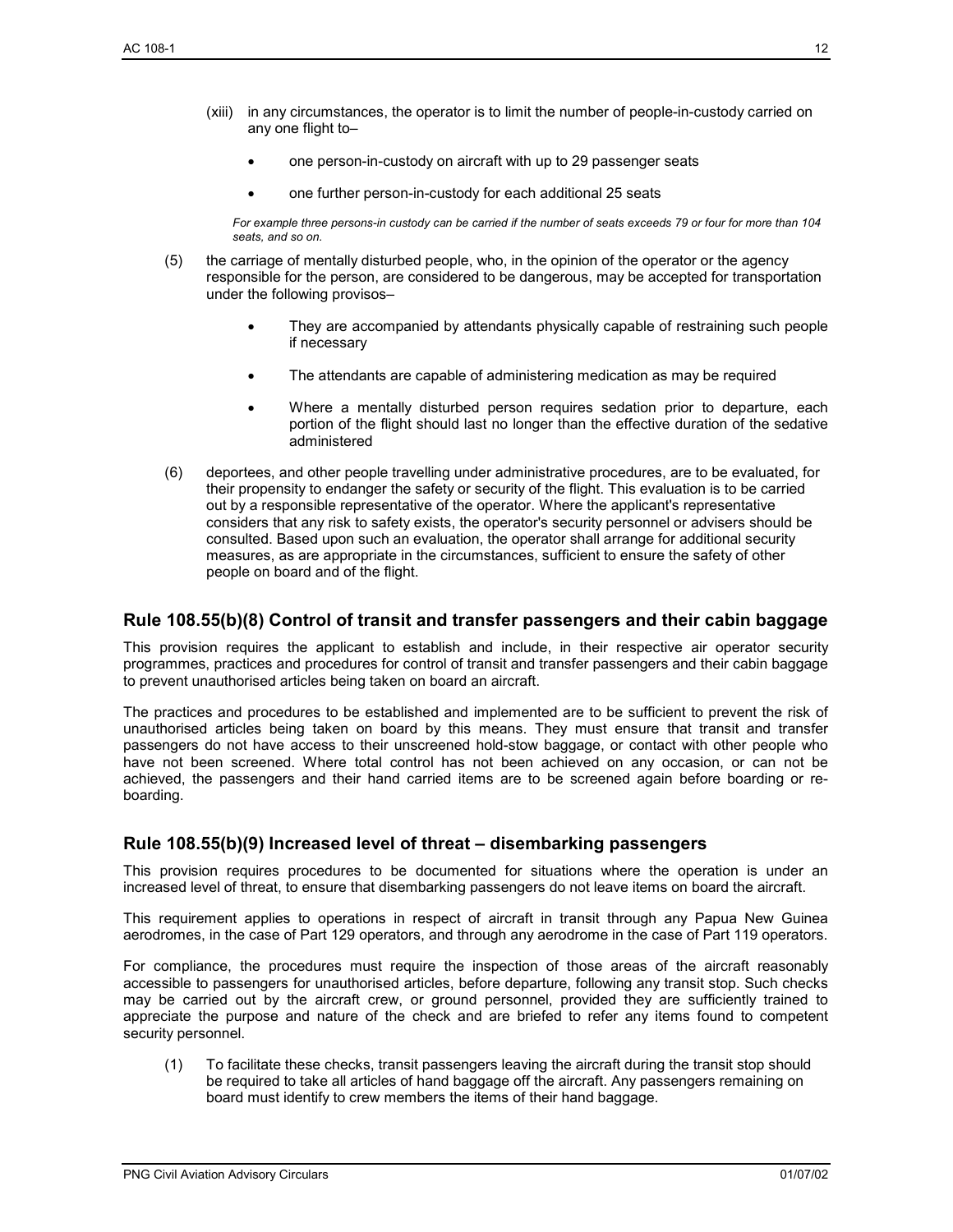- (xiii) in any circumstances, the operator is to limit the number of people-in-custody carried on any one flight to–
	- one person-in-custody on aircraft with up to 29 passenger seats
	- one further person-in-custody for each additional 25 seats

*For example three persons-in custody can be carried if the number of seats exceeds 79 or four for more than 104 seats, and so on.* 

- (5) the carriage of mentally disturbed people, who, in the opinion of the operator or the agency responsible for the person, are considered to be dangerous, may be accepted for transportation under the following provisos–
	- They are accompanied by attendants physically capable of restraining such people if necessary
	- The attendants are capable of administering medication as may be required
	- Where a mentally disturbed person requires sedation prior to departure, each portion of the flight should last no longer than the effective duration of the sedative administered
- (6) deportees, and other people travelling under administrative procedures, are to be evaluated, for their propensity to endanger the safety or security of the flight. This evaluation is to be carried out by a responsible representative of the operator. Where the applicant's representative considers that any risk to safety exists, the operator's security personnel or advisers should be consulted. Based upon such an evaluation, the operator shall arrange for additional security measures, as are appropriate in the circumstances, sufficient to ensure the safety of other people on board and of the flight.

#### **Rule 108.55(b)(8) Control of transit and transfer passengers and their cabin baggage**

This provision requires the applicant to establish and include, in their respective air operator security programmes, practices and procedures for control of transit and transfer passengers and their cabin baggage to prevent unauthorised articles being taken on board an aircraft.

The practices and procedures to be established and implemented are to be sufficient to prevent the risk of unauthorised articles being taken on board by this means. They must ensure that transit and transfer passengers do not have access to their unscreened hold-stow baggage, or contact with other people who have not been screened. Where total control has not been achieved on any occasion, or can not be achieved, the passengers and their hand carried items are to be screened again before boarding or reboarding.

#### **Rule 108.55(b)(9) Increased level of threat – disembarking passengers**

This provision requires procedures to be documented for situations where the operation is under an increased level of threat, to ensure that disembarking passengers do not leave items on board the aircraft.

This requirement applies to operations in respect of aircraft in transit through any Papua New Guinea aerodromes, in the case of Part 129 operators, and through any aerodrome in the case of Part 119 operators.

For compliance, the procedures must require the inspection of those areas of the aircraft reasonably accessible to passengers for unauthorised articles, before departure, following any transit stop. Such checks may be carried out by the aircraft crew, or ground personnel, provided they are sufficiently trained to appreciate the purpose and nature of the check and are briefed to refer any items found to competent security personnel.

(1) To facilitate these checks, transit passengers leaving the aircraft during the transit stop should be required to take all articles of hand baggage off the aircraft. Any passengers remaining on board must identify to crew members the items of their hand baggage.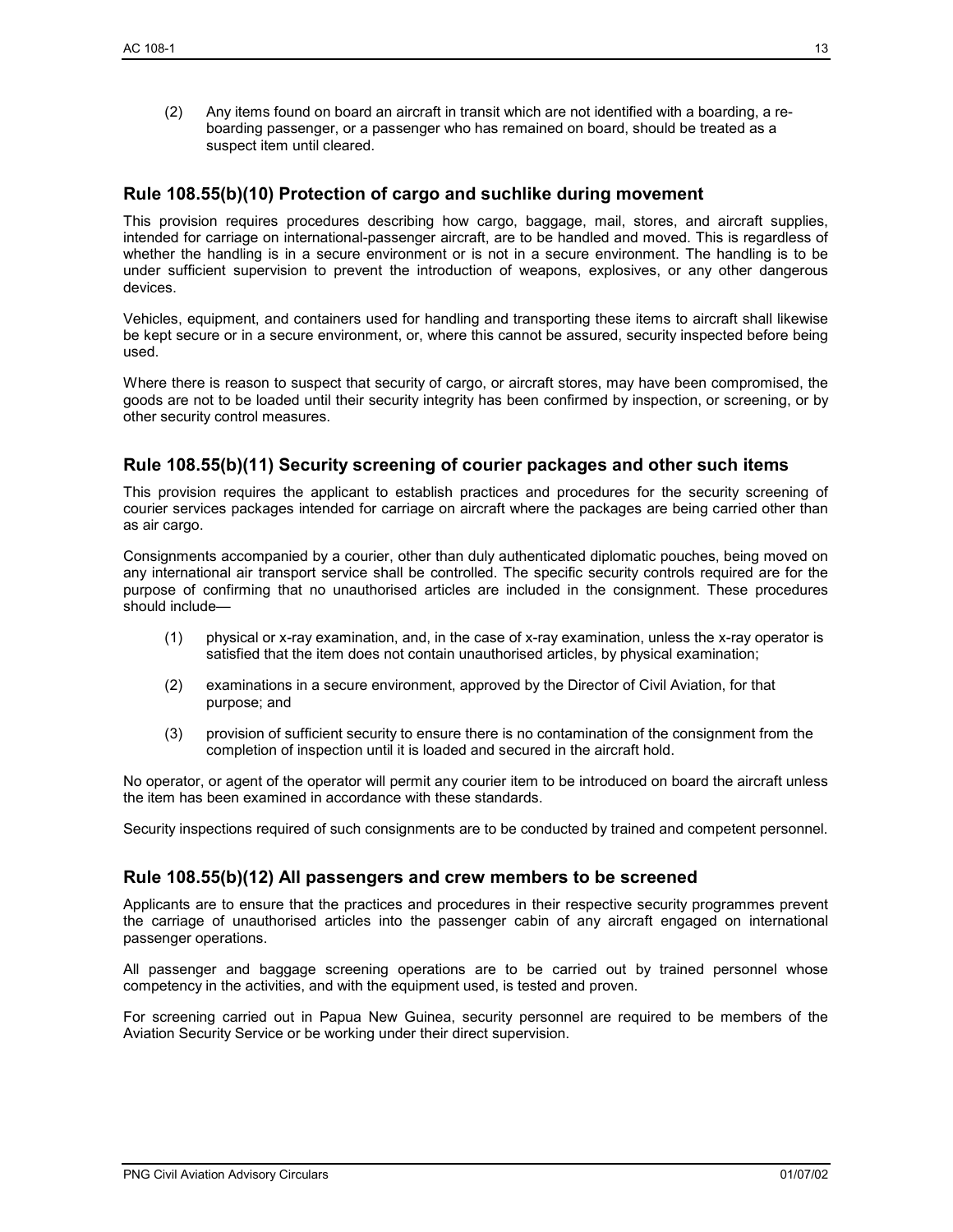(2) Any items found on board an aircraft in transit which are not identified with a boarding, a reboarding passenger, or a passenger who has remained on board, should be treated as a suspect item until cleared.

#### **Rule 108.55(b)(10) Protection of cargo and suchlike during movement**

This provision requires procedures describing how cargo, baggage, mail, stores, and aircraft supplies, intended for carriage on international-passenger aircraft, are to be handled and moved. This is regardless of whether the handling is in a secure environment or is not in a secure environment. The handling is to be under sufficient supervision to prevent the introduction of weapons, explosives, or any other dangerous devices.

Vehicles, equipment, and containers used for handling and transporting these items to aircraft shall likewise be kept secure or in a secure environment, or, where this cannot be assured, security inspected before being used.

Where there is reason to suspect that security of cargo, or aircraft stores, may have been compromised, the goods are not to be loaded until their security integrity has been confirmed by inspection, or screening, or by other security control measures.

#### **Rule 108.55(b)(11) Security screening of courier packages and other such items**

This provision requires the applicant to establish practices and procedures for the security screening of courier services packages intended for carriage on aircraft where the packages are being carried other than as air cargo.

Consignments accompanied by a courier, other than duly authenticated diplomatic pouches, being moved on any international air transport service shall be controlled. The specific security controls required are for the purpose of confirming that no unauthorised articles are included in the consignment. These procedures should include—

- (1) physical or x-ray examination, and, in the case of x-ray examination, unless the x-ray operator is satisfied that the item does not contain unauthorised articles, by physical examination;
- (2) examinations in a secure environment, approved by the Director of Civil Aviation, for that purpose; and
- (3) provision of sufficient security to ensure there is no contamination of the consignment from the completion of inspection until it is loaded and secured in the aircraft hold.

No operator, or agent of the operator will permit any courier item to be introduced on board the aircraft unless the item has been examined in accordance with these standards.

Security inspections required of such consignments are to be conducted by trained and competent personnel.

#### **Rule 108.55(b)(12) All passengers and crew members to be screened**

Applicants are to ensure that the practices and procedures in their respective security programmes prevent the carriage of unauthorised articles into the passenger cabin of any aircraft engaged on international passenger operations.

All passenger and baggage screening operations are to be carried out by trained personnel whose competency in the activities, and with the equipment used, is tested and proven.

For screening carried out in Papua New Guinea, security personnel are required to be members of the Aviation Security Service or be working under their direct supervision.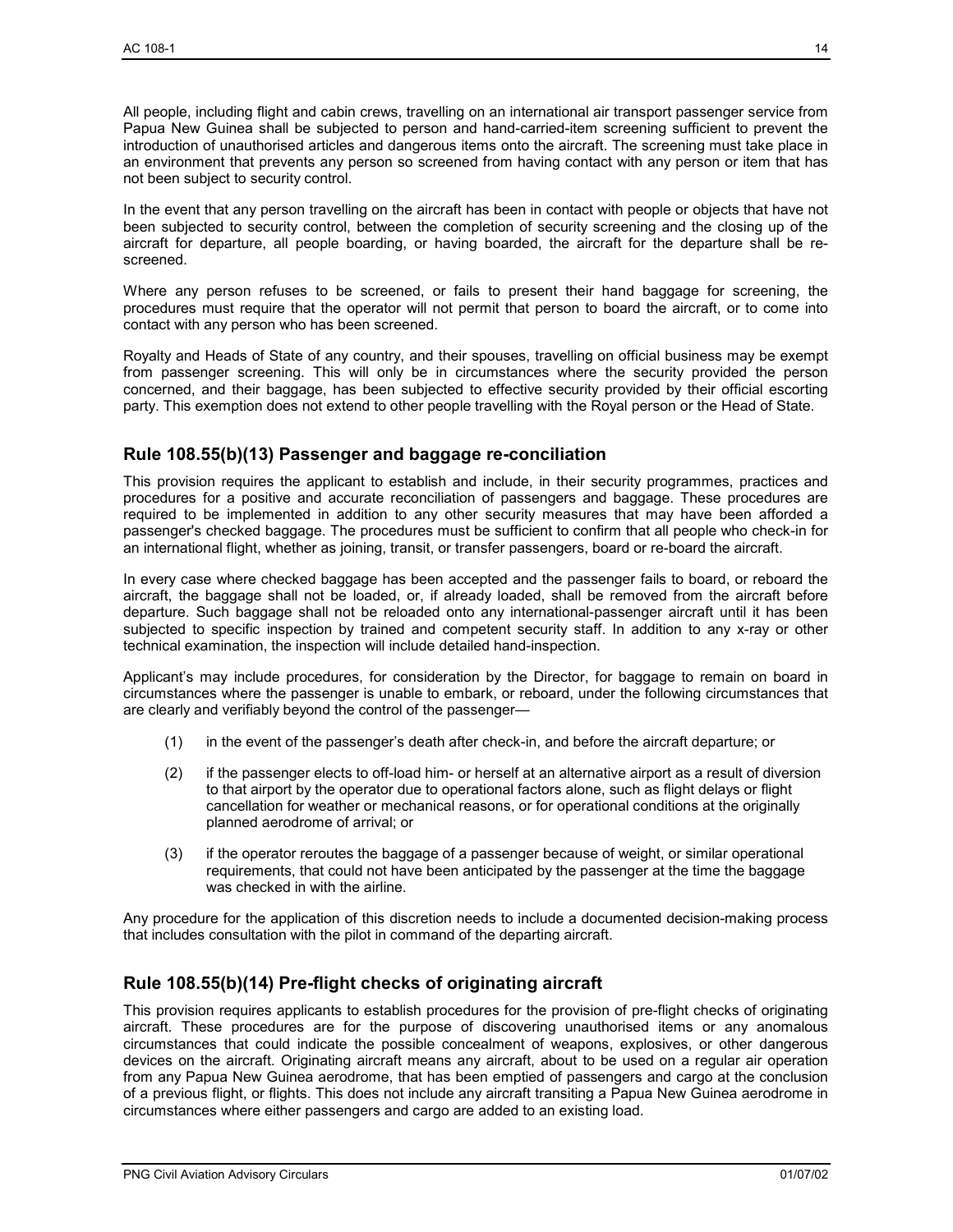All people, including flight and cabin crews, travelling on an international air transport passenger service from Papua New Guinea shall be subjected to person and hand-carried-item screening sufficient to prevent the introduction of unauthorised articles and dangerous items onto the aircraft. The screening must take place in an environment that prevents any person so screened from having contact with any person or item that has not been subject to security control.

In the event that any person travelling on the aircraft has been in contact with people or objects that have not been subjected to security control, between the completion of security screening and the closing up of the aircraft for departure, all people boarding, or having boarded, the aircraft for the departure shall be rescreened.

Where any person refuses to be screened, or fails to present their hand baggage for screening, the procedures must require that the operator will not permit that person to board the aircraft, or to come into contact with any person who has been screened.

Royalty and Heads of State of any country, and their spouses, travelling on official business may be exempt from passenger screening. This will only be in circumstances where the security provided the person concerned, and their baggage, has been subjected to effective security provided by their official escorting party. This exemption does not extend to other people travelling with the Royal person or the Head of State.

#### **Rule 108.55(b)(13) Passenger and baggage re-conciliation**

This provision requires the applicant to establish and include, in their security programmes, practices and procedures for a positive and accurate reconciliation of passengers and baggage. These procedures are required to be implemented in addition to any other security measures that may have been afforded a passenger's checked baggage. The procedures must be sufficient to confirm that all people who check-in for an international flight, whether as joining, transit, or transfer passengers, board or re-board the aircraft.

In every case where checked baggage has been accepted and the passenger fails to board, or reboard the aircraft, the baggage shall not be loaded, or, if already loaded, shall be removed from the aircraft before departure. Such baggage shall not be reloaded onto any international-passenger aircraft until it has been subjected to specific inspection by trained and competent security staff. In addition to any x-ray or other technical examination, the inspection will include detailed hand-inspection.

Applicant's may include procedures, for consideration by the Director, for baggage to remain on board in circumstances where the passenger is unable to embark, or reboard, under the following circumstances that are clearly and verifiably beyond the control of the passenger—

- (1) in the event of the passenger's death after check-in, and before the aircraft departure; or
- (2) if the passenger elects to off-load him- or herself at an alternative airport as a result of diversion to that airport by the operator due to operational factors alone, such as flight delays or flight cancellation for weather or mechanical reasons, or for operational conditions at the originally planned aerodrome of arrival; or
- (3) if the operator reroutes the baggage of a passenger because of weight, or similar operational requirements, that could not have been anticipated by the passenger at the time the baggage was checked in with the airline.

Any procedure for the application of this discretion needs to include a documented decision-making process that includes consultation with the pilot in command of the departing aircraft.

#### **Rule 108.55(b)(14) Pre-flight checks of originating aircraft**

This provision requires applicants to establish procedures for the provision of pre-flight checks of originating aircraft. These procedures are for the purpose of discovering unauthorised items or any anomalous circumstances that could indicate the possible concealment of weapons, explosives, or other dangerous devices on the aircraft. Originating aircraft means any aircraft, about to be used on a regular air operation from any Papua New Guinea aerodrome, that has been emptied of passengers and cargo at the conclusion of a previous flight, or flights. This does not include any aircraft transiting a Papua New Guinea aerodrome in circumstances where either passengers and cargo are added to an existing load.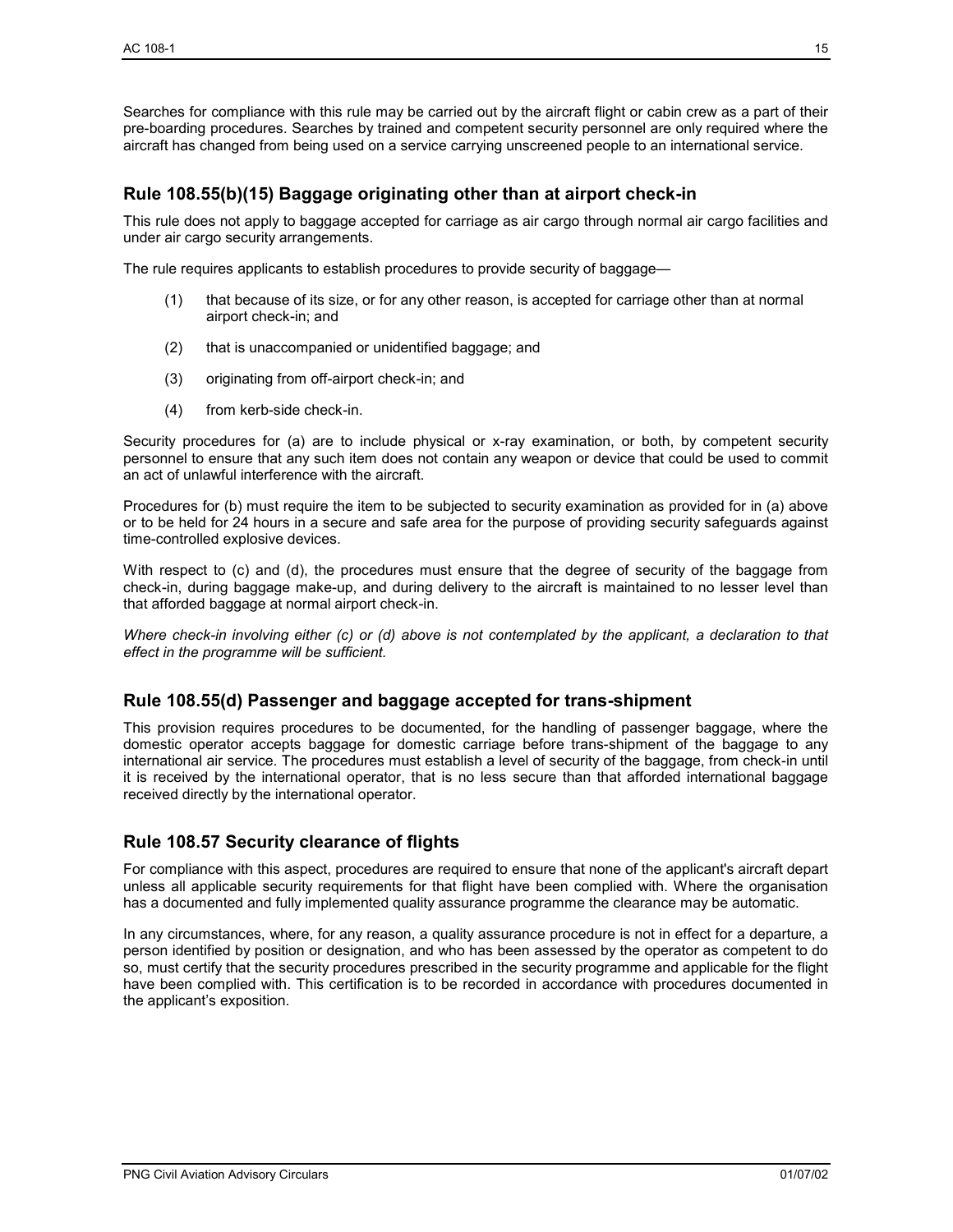Searches for compliance with this rule may be carried out by the aircraft flight or cabin crew as a part of their pre-boarding procedures. Searches by trained and competent security personnel are only required where the aircraft has changed from being used on a service carrying unscreened people to an international service.

#### **Rule 108.55(b)(15) Baggage originating other than at airport check-in**

This rule does not apply to baggage accepted for carriage as air cargo through normal air cargo facilities and under air cargo security arrangements.

The rule requires applicants to establish procedures to provide security of baggage—

- (1) that because of its size, or for any other reason, is accepted for carriage other than at normal airport check-in; and
- (2) that is unaccompanied or unidentified baggage; and
- (3) originating from off-airport check-in; and
- (4) from kerb-side check-in.

Security procedures for (a) are to include physical or x-ray examination, or both, by competent security personnel to ensure that any such item does not contain any weapon or device that could be used to commit an act of unlawful interference with the aircraft.

Procedures for (b) must require the item to be subjected to security examination as provided for in (a) above or to be held for 24 hours in a secure and safe area for the purpose of providing security safeguards against time-controlled explosive devices.

With respect to (c) and (d), the procedures must ensure that the degree of security of the baggage from check-in, during baggage make-up, and during delivery to the aircraft is maintained to no lesser level than that afforded baggage at normal airport check-in.

*Where check-in involving either (c) or (d) above is not contemplated by the applicant, a declaration to that effect in the programme will be sufficient.* 

#### **Rule 108.55(d) Passenger and baggage accepted for trans-shipment**

This provision requires procedures to be documented, for the handling of passenger baggage, where the domestic operator accepts baggage for domestic carriage before trans-shipment of the baggage to any international air service. The procedures must establish a level of security of the baggage, from check-in until it is received by the international operator, that is no less secure than that afforded international baggage received directly by the international operator.

#### **Rule 108.57 Security clearance of flights**

For compliance with this aspect, procedures are required to ensure that none of the applicant's aircraft depart unless all applicable security requirements for that flight have been complied with. Where the organisation has a documented and fully implemented quality assurance programme the clearance may be automatic.

In any circumstances, where, for any reason, a quality assurance procedure is not in effect for a departure, a person identified by position or designation, and who has been assessed by the operator as competent to do so, must certify that the security procedures prescribed in the security programme and applicable for the flight have been complied with. This certification is to be recorded in accordance with procedures documented in the applicant's exposition.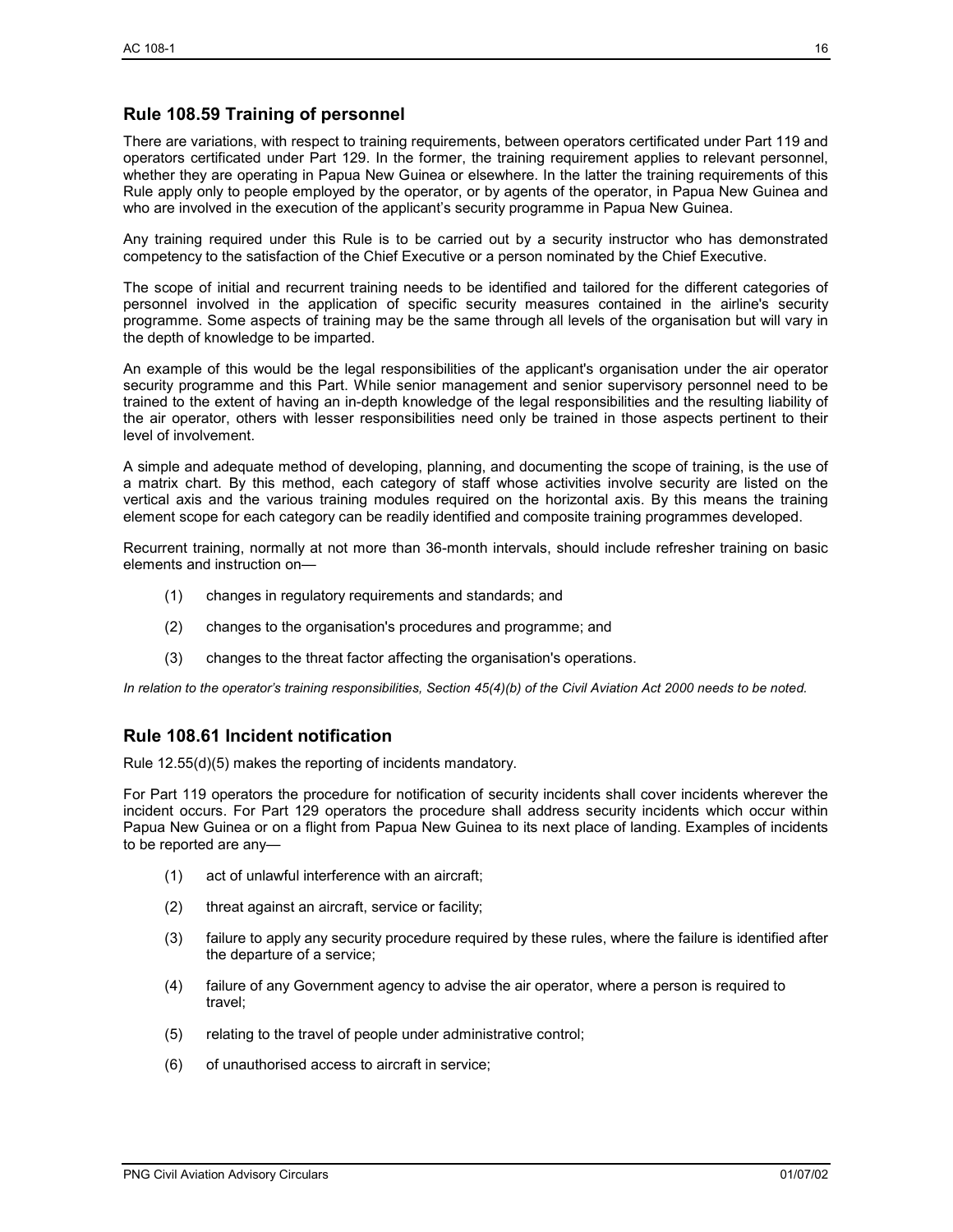#### **Rule 108.59 Training of personnel**

There are variations, with respect to training requirements, between operators certificated under Part 119 and operators certificated under Part 129. In the former, the training requirement applies to relevant personnel, whether they are operating in Papua New Guinea or elsewhere. In the latter the training requirements of this Rule apply only to people employed by the operator, or by agents of the operator, in Papua New Guinea and who are involved in the execution of the applicant's security programme in Papua New Guinea.

Any training required under this Rule is to be carried out by a security instructor who has demonstrated competency to the satisfaction of the Chief Executive or a person nominated by the Chief Executive.

The scope of initial and recurrent training needs to be identified and tailored for the different categories of personnel involved in the application of specific security measures contained in the airline's security programme. Some aspects of training may be the same through all levels of the organisation but will vary in the depth of knowledge to be imparted.

An example of this would be the legal responsibilities of the applicant's organisation under the air operator security programme and this Part. While senior management and senior supervisory personnel need to be trained to the extent of having an in-depth knowledge of the legal responsibilities and the resulting liability of the air operator, others with lesser responsibilities need only be trained in those aspects pertinent to their level of involvement.

A simple and adequate method of developing, planning, and documenting the scope of training, is the use of a matrix chart. By this method, each category of staff whose activities involve security are listed on the vertical axis and the various training modules required on the horizontal axis. By this means the training element scope for each category can be readily identified and composite training programmes developed.

Recurrent training, normally at not more than 36-month intervals, should include refresher training on basic elements and instruction on—

- (1) changes in regulatory requirements and standards; and
- (2) changes to the organisation's procedures and programme; and
- (3) changes to the threat factor affecting the organisation's operations.

*In relation to the operator's training responsibilities, Section 45(4)(b) of the Civil Aviation Act 2000 needs to be noted.* 

#### **Rule 108.61 Incident notification**

Rule 12.55(d)(5) makes the reporting of incidents mandatory.

For Part 119 operators the procedure for notification of security incidents shall cover incidents wherever the incident occurs. For Part 129 operators the procedure shall address security incidents which occur within Papua New Guinea or on a flight from Papua New Guinea to its next place of landing. Examples of incidents to be reported are any—

- (1) act of unlawful interference with an aircraft;
- (2) threat against an aircraft, service or facility;
- (3) failure to apply any security procedure required by these rules, where the failure is identified after the departure of a service;
- (4) failure of any Government agency to advise the air operator, where a person is required to travel;
- (5) relating to the travel of people under administrative control;
- (6) of unauthorised access to aircraft in service;